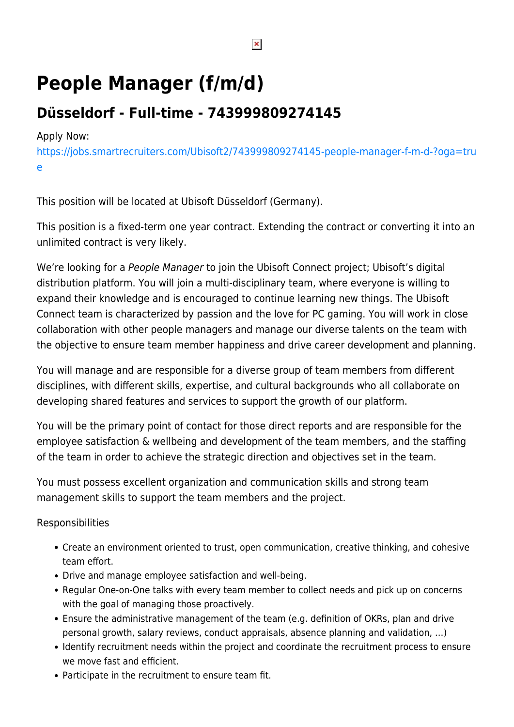# **People Manager (f/m/d)**

# **Düsseldorf - Full-time - 743999809274145**

### Apply Now:

[https://jobs.smartrecruiters.com/Ubisoft2/743999809274145-people-manager-f-m-d-?oga=tru](https://jobs.smartrecruiters.com/Ubisoft2/743999809274145-people-manager-f-m-d-?oga=true) [e](https://jobs.smartrecruiters.com/Ubisoft2/743999809274145-people-manager-f-m-d-?oga=true)

This position will be located at Ubisoft Düsseldorf (Germany).

This position is a fixed-term one year contract. Extending the contract or converting it into an unlimited contract is very likely.

We're looking for a People Manager to join the Ubisoft Connect project; Ubisoft's digital distribution platform. You will join a multi-disciplinary team, where everyone is willing to expand their knowledge and is encouraged to continue learning new things. The Ubisoft Connect team is characterized by passion and the love for PC gaming. You will work in close collaboration with other people managers and manage our diverse talents on the team with the objective to ensure team member happiness and drive career development and planning.

You will manage and are responsible for a diverse group of team members from different disciplines, with different skills, expertise, and cultural backgrounds who all collaborate on developing shared features and services to support the growth of our platform.

You will be the primary point of contact for those direct reports and are responsible for the employee satisfaction & wellbeing and development of the team members, and the staffing of the team in order to achieve the strategic direction and objectives set in the team.

You must possess excellent organization and communication skills and strong team management skills to support the team members and the project.

Responsibilities

- Create an environment oriented to trust, open communication, creative thinking, and cohesive team effort.
- Drive and manage employee satisfaction and well-being.
- Regular One-on-One talks with every team member to collect needs and pick up on concerns with the goal of managing those proactively.
- Ensure the administrative management of the team (e.g. definition of OKRs, plan and drive personal growth, salary reviews, conduct appraisals, absence planning and validation, …)
- Identify recruitment needs within the project and coordinate the recruitment process to ensure we move fast and efficient.
- Participate in the recruitment to ensure team fit.

 $\pmb{\times}$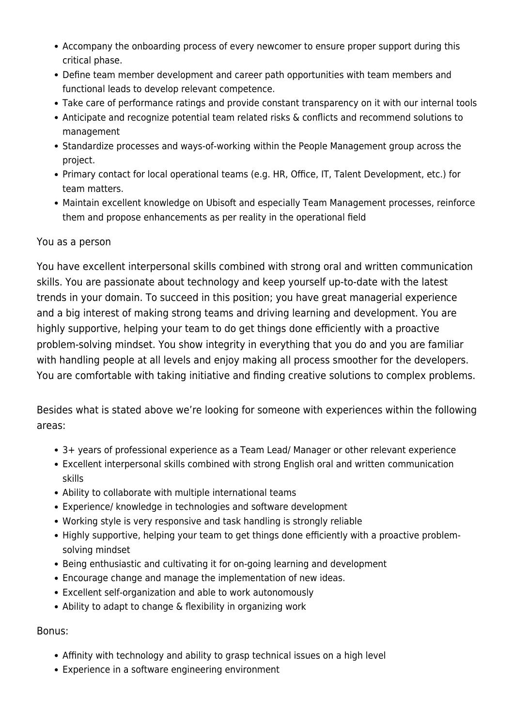- Accompany the onboarding process of every newcomer to ensure proper support during this critical phase.
- Define team member development and career path opportunities with team members and functional leads to develop relevant competence.
- Take care of performance ratings and provide constant transparency on it with our internal tools
- Anticipate and recognize potential team related risks & conflicts and recommend solutions to management
- Standardize processes and ways-of-working within the People Management group across the project.
- Primary contact for local operational teams (e.g. HR, Office, IT, Talent Development, etc.) for team matters.
- Maintain excellent knowledge on Ubisoft and especially Team Management processes, reinforce them and propose enhancements as per reality in the operational field

#### You as a person

You have excellent interpersonal skills combined with strong oral and written communication skills. You are passionate about technology and keep yourself up-to-date with the latest trends in your domain. To succeed in this position; you have great managerial experience and a big interest of making strong teams and driving learning and development. You are highly supportive, helping your team to do get things done efficiently with a proactive problem-solving mindset. You show integrity in everything that you do and you are familiar with handling people at all levels and enjoy making all process smoother for the developers. You are comfortable with taking initiative and finding creative solutions to complex problems.

Besides what is stated above we're looking for someone with experiences within the following areas:

- 3+ years of professional experience as a Team Lead/ Manager or other relevant experience
- Excellent interpersonal skills combined with strong English oral and written communication skills
- Ability to collaborate with multiple international teams
- Experience/ knowledge in technologies and software development
- Working style is very responsive and task handling is strongly reliable
- Highly supportive, helping your team to get things done efficiently with a proactive problemsolving mindset
- Being enthusiastic and cultivating it for on-going learning and development
- Encourage change and manage the implementation of new ideas.
- Excellent self-organization and able to work autonomously
- Ability to adapt to change & flexibility in organizing work

## Bonus:

- Affinity with technology and ability to grasp technical issues on a high level
- Experience in a software engineering environment